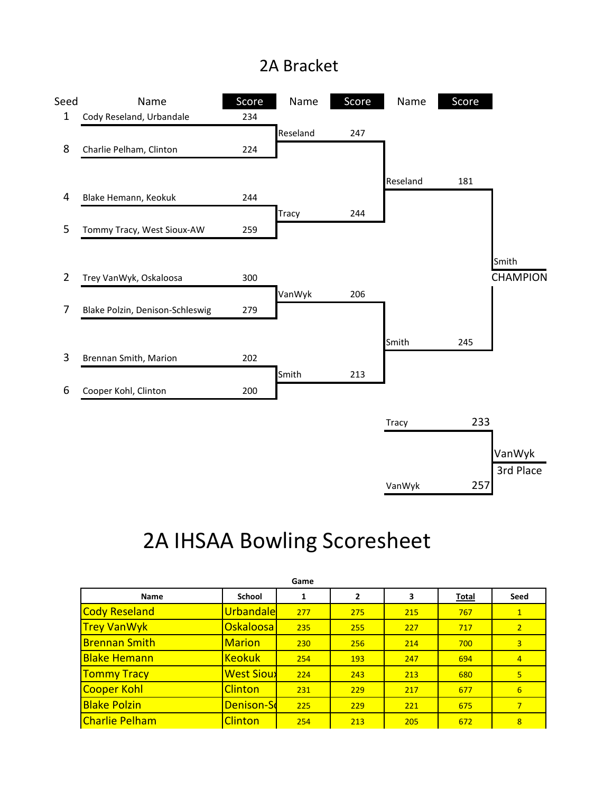## 2A Bracket



## 2A IHSAA Bowling Scoresheet

| Game                  |                   |     |              |     |       |                |  |  |  |
|-----------------------|-------------------|-----|--------------|-----|-------|----------------|--|--|--|
| Name                  | <b>School</b>     | 1   | $\mathbf{2}$ | 3   | Total | Seed           |  |  |  |
| Cody Reseland         | Urbandale         | 277 | 275          | 215 | 767   | $\mathbf{1}$   |  |  |  |
| <b>Trey VanWyk</b>    | Oskaloosa         | 235 | 255          | 227 | 717   | $\overline{2}$ |  |  |  |
| <b>Brennan Smith</b>  | <b>Marion</b>     | 230 | 256          | 214 | 700   | 3              |  |  |  |
| <b>Blake Hemann</b>   | <b>Keokuk</b>     | 254 | 193          | 247 | 694   | $\overline{4}$ |  |  |  |
| <b>Tommy Tracy</b>    | <b>West Sioux</b> | 224 | 243          | 213 | 680   | 5              |  |  |  |
| <b>Cooper Kohl</b>    | <b>Clinton</b>    | 231 | 229          | 217 | 677   | 6              |  |  |  |
| <b>Blake Polzin</b>   | Denison-Sd        | 225 | 229          | 221 | 675   | $\overline{7}$ |  |  |  |
| <b>Charlie Pelham</b> | <b>Clinton</b>    | 254 | 213          | 205 | 672   | $\overline{8}$ |  |  |  |